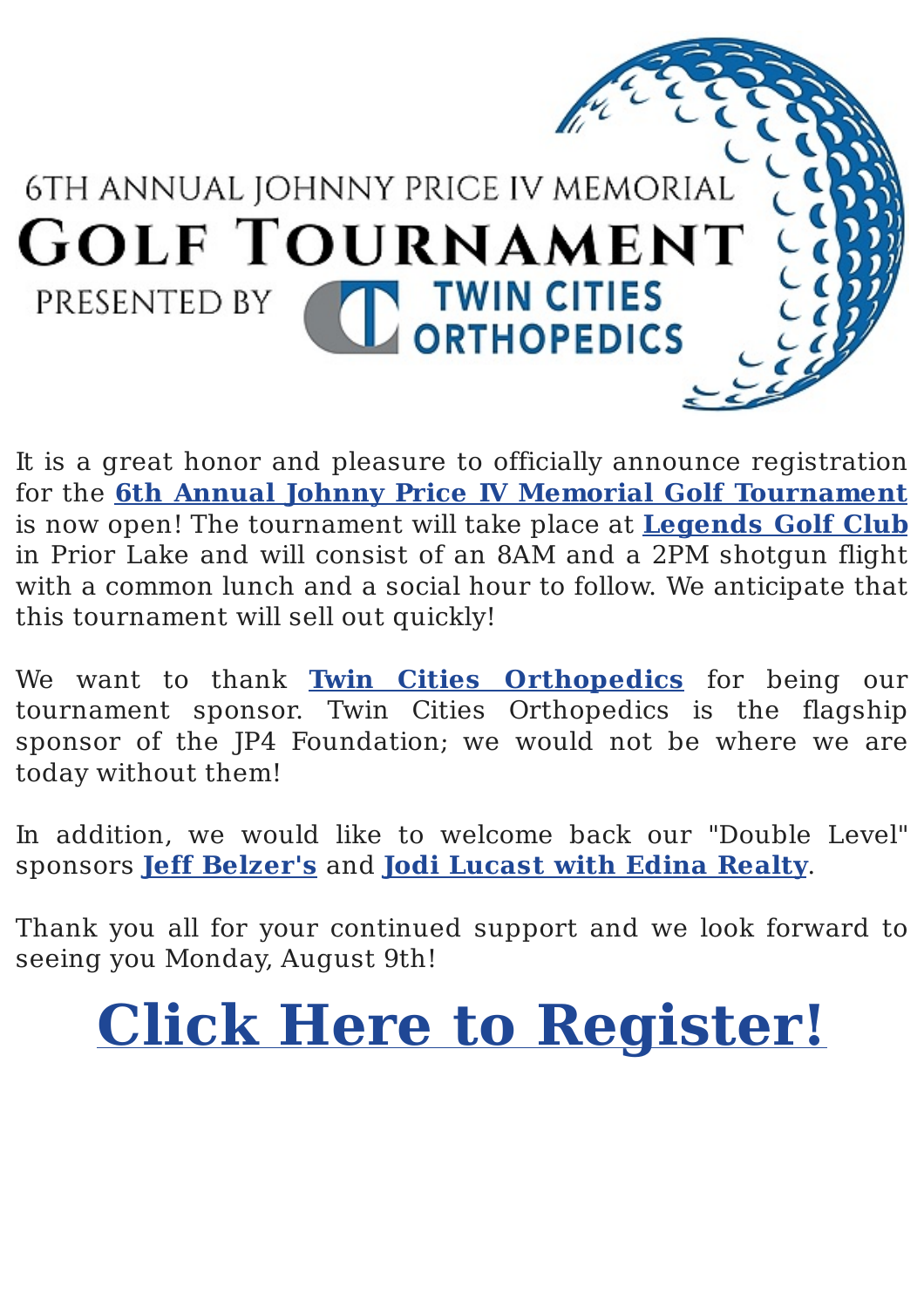

It is a great honor and pleasure to officially announce registration for the **6th Annual Johnny Price IV Memorial Golf Tournament** is now open! The tournament will take place at **Legends Golf Club** in Prior Lake and will consist of an 8AM and a 2PM shotgun flight with a common lunch and a social hour to follow. We anticipate that this tournament will sell out quickly!

We want to thank **Twin Cities Orthopedics** for being our tournament sponsor. Twin Cities Orthopedics is the flagship sponsor of the JP4 Foundation; we would not be where we are today without them!

In addition, we would like to welcome back our "Double Level" sponsors **Jeff Belzer's** and **Jodi Lucast with Edina Realty.** 

Thank you all for your continued support and we look forward to seeing you Monday, August 9th!

**Click Here to Register!**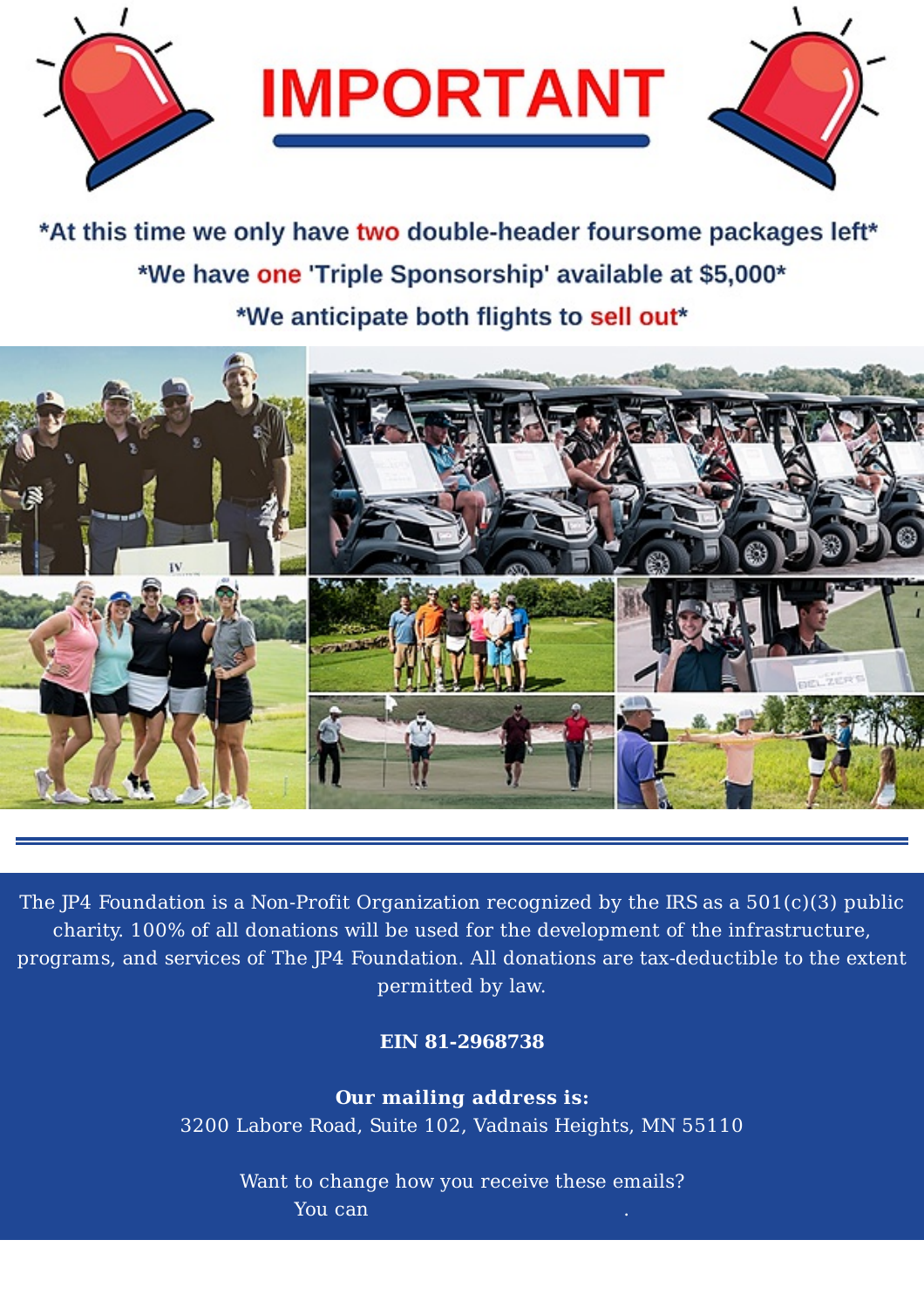

\*At this time we only have two double-header foursome packages left\* \*We have one 'Triple Sponsorship' available at \$5,000\* \*We anticipate both flights to sell out\*



The JP4 Foundation is a Non-Profit Organization recognized by the IRS as a  $501(c)(3)$  public charity. 100% of all donations will be used for the development of the infrastructure, programs, and services of The JP4 Foundation. All donations are tax-deductible to the extent permitted by law.

**EIN 81-2968738**

**Our mailing address is:** 3200 Labore Road, Suite 102, Vadnais Heights, MN 55110

Want to change how you receive these emails? You can